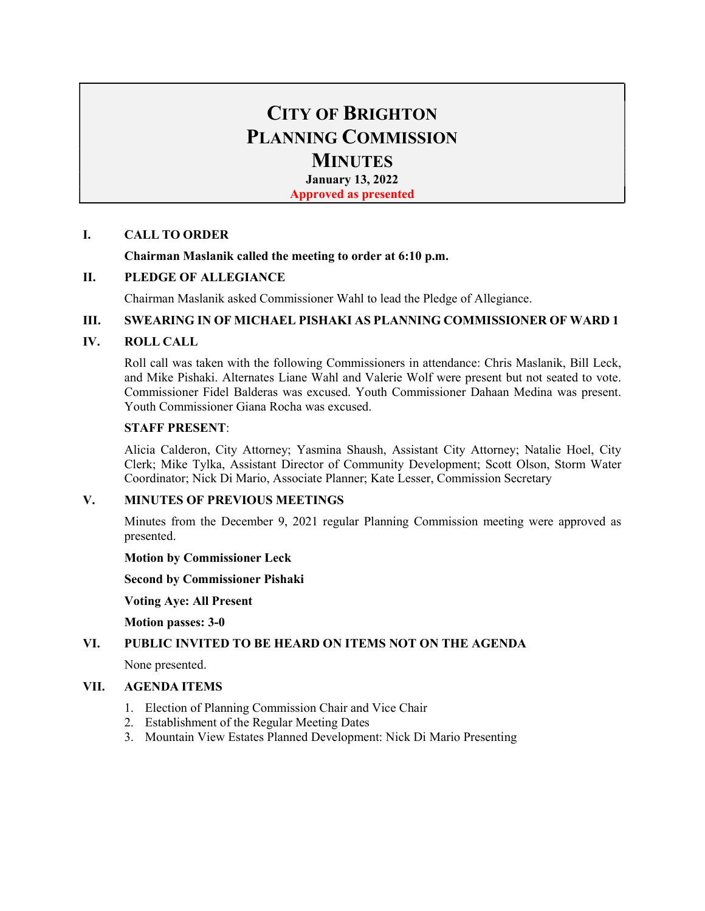# CITY OF BRIGHTON PLANNING COMMISSION **MINUTES**

January 13, 2022

Approved as presented

# I. CALL TO ORDER

## Chairman Maslanik called the meeting to order at 6:10 p.m.

# II. PLEDGE OF ALLEGIANCE

Chairman Maslanik asked Commissioner Wahl to lead the Pledge of Allegiance.

## III. SWEARING IN OF MICHAEL PISHAKI AS PLANNING COMMISSIONER OF WARD 1

# IV. ROLL CALL

Roll call was taken with the following Commissioners in attendance: Chris Maslanik, Bill Leck, and Mike Pishaki. Alternates Liane Wahl and Valerie Wolf were present but not seated to vote. Commissioner Fidel Balderas was excused. Youth Commissioner Dahaan Medina was present. Youth Commissioner Giana Rocha was excused.

## STAFF PRESENT:

Alicia Calderon, City Attorney; Yasmina Shaush, Assistant City Attorney; Natalie Hoel, City Clerk; Mike Tylka, Assistant Director of Community Development; Scott Olson, Storm Water Coordinator; Nick Di Mario, Associate Planner; Kate Lesser, Commission Secretary

## V. MINUTES OF PREVIOUS MEETINGS

Minutes from the December 9, 2021 regular Planning Commission meeting were approved as presented.

## Motion by Commissioner Leck

Second by Commissioner Pishaki

Voting Aye: All Present

Motion passes: 3-0

## VI. PUBLIC INVITED TO BE HEARD ON ITEMS NOT ON THE AGENDA

None presented.

## VII. AGENDA ITEMS

- 1. Election of Planning Commission Chair and Vice Chair
- 2. Establishment of the Regular Meeting Dates
- 3. Mountain View Estates Planned Development: Nick Di Mario Presenting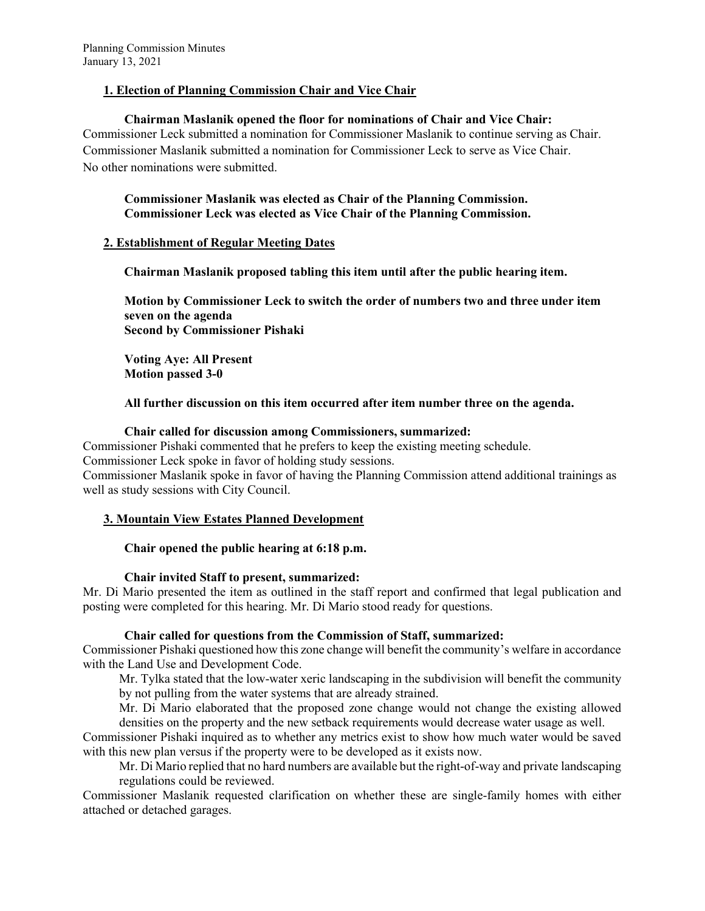## 1. Election of Planning Commission Chair and Vice Chair

## Chairman Maslanik opened the floor for nominations of Chair and Vice Chair:

Commissioner Leck submitted a nomination for Commissioner Maslanik to continue serving as Chair. Commissioner Maslanik submitted a nomination for Commissioner Leck to serve as Vice Chair. No other nominations were submitted.

Commissioner Maslanik was elected as Chair of the Planning Commission. Commissioner Leck was elected as Vice Chair of the Planning Commission.

## 2. Establishment of Regular Meeting Dates

Chairman Maslanik proposed tabling this item until after the public hearing item.

Motion by Commissioner Leck to switch the order of numbers two and three under item seven on the agenda Second by Commissioner Pishaki

Voting Aye: All Present Motion passed 3-0

## All further discussion on this item occurred after item number three on the agenda.

## Chair called for discussion among Commissioners, summarized:

Commissioner Pishaki commented that he prefers to keep the existing meeting schedule.

Commissioner Leck spoke in favor of holding study sessions.

Commissioner Maslanik spoke in favor of having the Planning Commission attend additional trainings as well as study sessions with City Council.

## 3. Mountain View Estates Planned Development

## Chair opened the public hearing at 6:18 p.m.

## Chair invited Staff to present, summarized:

Mr. Di Mario presented the item as outlined in the staff report and confirmed that legal publication and posting were completed for this hearing. Mr. Di Mario stood ready for questions.

## Chair called for questions from the Commission of Staff, summarized:

Commissioner Pishaki questioned how this zone change will benefit the community's welfare in accordance with the Land Use and Development Code.

Mr. Tylka stated that the low-water xeric landscaping in the subdivision will benefit the community by not pulling from the water systems that are already strained.

Mr. Di Mario elaborated that the proposed zone change would not change the existing allowed densities on the property and the new setback requirements would decrease water usage as well.

Commissioner Pishaki inquired as to whether any metrics exist to show how much water would be saved with this new plan versus if the property were to be developed as it exists now.

Mr. Di Mario replied that no hard numbers are available but the right-of-way and private landscaping regulations could be reviewed.

Commissioner Maslanik requested clarification on whether these are single-family homes with either attached or detached garages.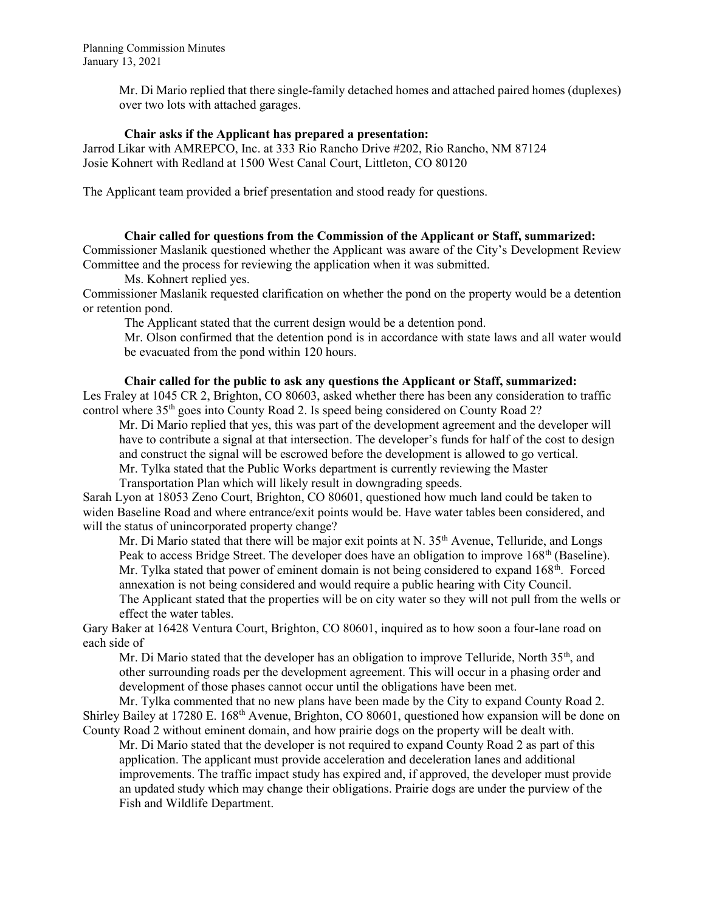Mr. Di Mario replied that there single-family detached homes and attached paired homes (duplexes) over two lots with attached garages.

#### Chair asks if the Applicant has prepared a presentation:

Jarrod Likar with AMREPCO, Inc. at 333 Rio Rancho Drive #202, Rio Rancho, NM 87124 Josie Kohnert with Redland at 1500 West Canal Court, Littleton, CO 80120

The Applicant team provided a brief presentation and stood ready for questions.

#### Chair called for questions from the Commission of the Applicant or Staff, summarized:

Commissioner Maslanik questioned whether the Applicant was aware of the City's Development Review Committee and the process for reviewing the application when it was submitted.

Ms. Kohnert replied yes.

Commissioner Maslanik requested clarification on whether the pond on the property would be a detention or retention pond.

The Applicant stated that the current design would be a detention pond.

Mr. Olson confirmed that the detention pond is in accordance with state laws and all water would be evacuated from the pond within 120 hours.

#### Chair called for the public to ask any questions the Applicant or Staff, summarized:

Les Fraley at 1045 CR 2, Brighton, CO 80603, asked whether there has been any consideration to traffic control where  $35<sup>th</sup>$  goes into County Road 2. Is speed being considered on County Road 2?

Mr. Di Mario replied that yes, this was part of the development agreement and the developer will have to contribute a signal at that intersection. The developer's funds for half of the cost to design and construct the signal will be escrowed before the development is allowed to go vertical.

Mr. Tylka stated that the Public Works department is currently reviewing the Master

Transportation Plan which will likely result in downgrading speeds.

Sarah Lyon at 18053 Zeno Court, Brighton, CO 80601, questioned how much land could be taken to widen Baseline Road and where entrance/exit points would be. Have water tables been considered, and will the status of unincorporated property change?

Mr. Di Mario stated that there will be major exit points at N.  $35<sup>th</sup>$  Avenue, Telluride, and Longs Peak to access Bridge Street. The developer does have an obligation to improve  $168<sup>th</sup>$  (Baseline). Mr. Tylka stated that power of eminent domain is not being considered to expand 168<sup>th</sup>. Forced annexation is not being considered and would require a public hearing with City Council.

The Applicant stated that the properties will be on city water so they will not pull from the wells or effect the water tables.

Gary Baker at 16428 Ventura Court, Brighton, CO 80601, inquired as to how soon a four-lane road on each side of

Mr. Di Mario stated that the developer has an obligation to improve Telluride, North 35<sup>th</sup>, and other surrounding roads per the development agreement. This will occur in a phasing order and development of those phases cannot occur until the obligations have been met.

Mr. Tylka commented that no new plans have been made by the City to expand County Road 2. Shirley Bailey at 17280 E. 168th Avenue, Brighton, CO 80601, questioned how expansion will be done on County Road 2 without eminent domain, and how prairie dogs on the property will be dealt with.

Mr. Di Mario stated that the developer is not required to expand County Road 2 as part of this application. The applicant must provide acceleration and deceleration lanes and additional improvements. The traffic impact study has expired and, if approved, the developer must provide an updated study which may change their obligations. Prairie dogs are under the purview of the Fish and Wildlife Department.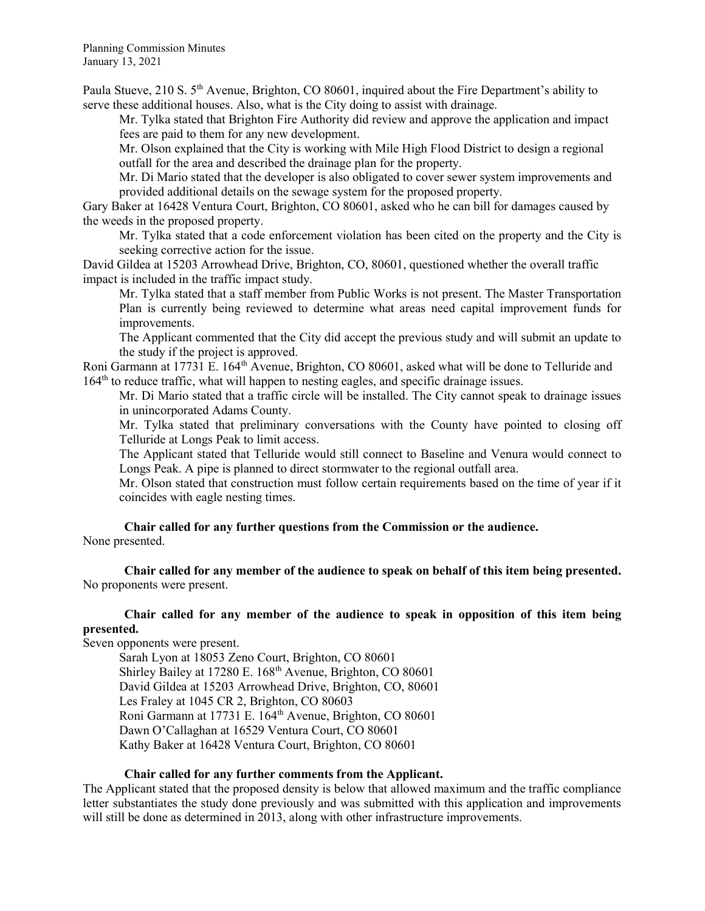Paula Stueve, 210 S. 5<sup>th</sup> Avenue, Brighton, CO 80601, inquired about the Fire Department's ability to serve these additional houses. Also, what is the City doing to assist with drainage.

 Mr. Tylka stated that Brighton Fire Authority did review and approve the application and impact fees are paid to them for any new development.

 Mr. Olson explained that the City is working with Mile High Flood District to design a regional outfall for the area and described the drainage plan for the property.

 Mr. Di Mario stated that the developer is also obligated to cover sewer system improvements and provided additional details on the sewage system for the proposed property.

Gary Baker at 16428 Ventura Court, Brighton, CO 80601, asked who he can bill for damages caused by the weeds in the proposed property.

Mr. Tylka stated that a code enforcement violation has been cited on the property and the City is seeking corrective action for the issue.

David Gildea at 15203 Arrowhead Drive, Brighton, CO, 80601, questioned whether the overall traffic impact is included in the traffic impact study.

Mr. Tylka stated that a staff member from Public Works is not present. The Master Transportation Plan is currently being reviewed to determine what areas need capital improvement funds for improvements.

The Applicant commented that the City did accept the previous study and will submit an update to the study if the project is approved.

Roni Garmann at 17731 E. 164th Avenue, Brighton, CO 80601, asked what will be done to Telluride and 164th to reduce traffic, what will happen to nesting eagles, and specific drainage issues.

Mr. Di Mario stated that a traffic circle will be installed. The City cannot speak to drainage issues in unincorporated Adams County.

Mr. Tylka stated that preliminary conversations with the County have pointed to closing off Telluride at Longs Peak to limit access.

The Applicant stated that Telluride would still connect to Baseline and Venura would connect to Longs Peak. A pipe is planned to direct stormwater to the regional outfall area.

Mr. Olson stated that construction must follow certain requirements based on the time of year if it coincides with eagle nesting times.

Chair called for any further questions from the Commission or the audience. None presented.

Chair called for any member of the audience to speak on behalf of this item being presented. No proponents were present.

# Chair called for any member of the audience to speak in opposition of this item being presented.

Seven opponents were present.

Sarah Lyon at 18053 Zeno Court, Brighton, CO 80601 Shirley Bailey at 17280 E. 168<sup>th</sup> Avenue, Brighton, CO 80601 David Gildea at 15203 Arrowhead Drive, Brighton, CO, 80601 Les Fraley at 1045 CR 2, Brighton, CO 80603 Roni Garmann at 17731 E. 164th Avenue, Brighton, CO 80601 Dawn O'Callaghan at 16529 Ventura Court, CO 80601 Kathy Baker at 16428 Ventura Court, Brighton, CO 80601

## Chair called for any further comments from the Applicant.

The Applicant stated that the proposed density is below that allowed maximum and the traffic compliance letter substantiates the study done previously and was submitted with this application and improvements will still be done as determined in 2013, along with other infrastructure improvements.